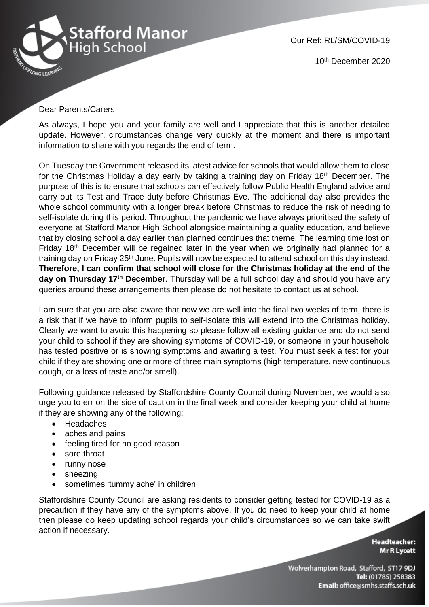

10th December 2020

## Dear Parents/Carers

As always, I hope you and your family are well and I appreciate that this is another detailed update. However, circumstances change very quickly at the moment and there is important information to share with you regards the end of term.

On Tuesday the Government released its latest advice for schools that would allow them to close for the Christmas Holiday a day early by taking a training day on Friday 18th December. The purpose of this is to ensure that schools can effectively follow Public Health England advice and carry out its Test and Trace duty before Christmas Eve. The additional day also provides the whole school community with a longer break before Christmas to reduce the risk of needing to self-isolate during this period. Throughout the pandemic we have always prioritised the safety of everyone at Stafford Manor High School alongside maintaining a quality education, and believe that by closing school a day earlier than planned continues that theme. The learning time lost on Friday 18<sup>th</sup> December will be regained later in the year when we originally had planned for a training day on Friday 25th June. Pupils will now be expected to attend school on this day instead. **Therefore, I can confirm that school will close for the Christmas holiday at the end of the day on Thursday 17th December**. Thursday will be a full school day and should you have any queries around these arrangements then please do not hesitate to contact us at school.

I am sure that you are also aware that now we are well into the final two weeks of term, there is a risk that if we have to inform pupils to self-isolate this will extend into the Christmas holiday. Clearly we want to avoid this happening so please follow all existing guidance and do not send your child to school if they are showing symptoms of COVID-19, or someone in your household has tested positive or is showing symptoms and awaiting a test. You must seek a test for your child if they are showing one or more of three main symptoms (high temperature, new continuous cough, or a loss of taste and/or smell).

Following guidance released by Staffordshire County Council during November, we would also urge you to err on the side of caution in the final week and consider keeping your child at home if they are showing any of the following:

- Headaches
- aches and pains
- feeling tired for no good reason
- sore throat
- runny nose
- sneezing
- sometimes 'tummy ache' in children

Staffordshire County Council are asking residents to consider getting tested for COVID-19 as a precaution if they have any of the symptoms above. If you do need to keep your child at home then please do keep updating school regards your child's circumstances so we can take swift action if necessary.

> **Headteacher: Mr R Lycett**

Wolverhampton Road, Stafford, ST17 9DJ Tel: (01785) 258383 Email: office@smhs.staffs.sch.uk